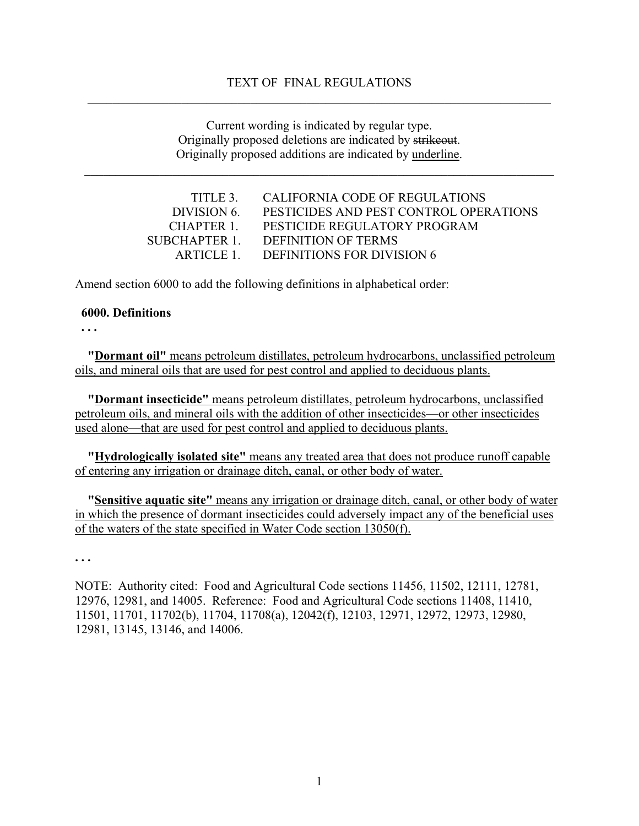Current wording is indicated by regular type. Originally proposed deletions are indicated by strikeout. Originally proposed additions are indicated by underline.

\_\_\_\_\_\_\_\_\_\_\_\_\_\_\_\_\_\_\_\_\_\_\_\_\_\_\_\_\_\_\_\_\_\_\_\_\_\_\_\_\_\_\_\_\_\_\_\_\_\_\_\_\_\_\_\_\_\_\_\_\_\_\_\_\_\_\_\_\_\_\_\_\_\_\_

| TITLE 3.    | CALIFORNIA CODE OF REGULATIONS         |
|-------------|----------------------------------------|
| DIVISION 6. | PESTICIDES AND PEST CONTROL OPERATIONS |
| CHAPTER 1   | <b>PESTICIDE REGULATORY PROGRAM</b>    |
|             | SUBCHAPTER 1 DEFINITION OF TERMS       |
| ARTICLE 1   | DEFINITIONS FOR DIVISION 6             |

Amend section 6000 to add the following definitions in alphabetical order:

## **6000. Definitions**

**. . .** 

**"Dormant oil"** means petroleum distillates, petroleum hydrocarbons, unclassified petroleum oils, and mineral oils that are used for pest control and applied to deciduous plants.

**"Dormant insecticide"** means petroleum distillates, petroleum hydrocarbons, unclassified petroleum oils, and mineral oils with the addition of other insecticides—or other insecticides used alone—that are used for pest control and applied to deciduous plants.

**"Hydrologically isolated site"** means any treated area that does not produce runoff capable of entering any irrigation or drainage ditch, canal, or other body of water.

**"Sensitive aquatic site"** means any irrigation or drainage ditch, canal, or other body of water in which the presence of dormant insecticides could adversely impact any of the beneficial uses of the waters of the state specified in Water Code section 13050(f).

**. . .**

NOTE: Authority cited: Food and Agricultural Code sections 11456, 11502, 12111, 12781, 12976, 12981, and 14005. Reference: Food and Agricultural Code sections 11408, 11410, 11501, 11701, 11702(b), 11704, 11708(a), 12042(f), 12103, 12971, 12972, 12973, 12980, 12981, 13145, 13146, and 14006.